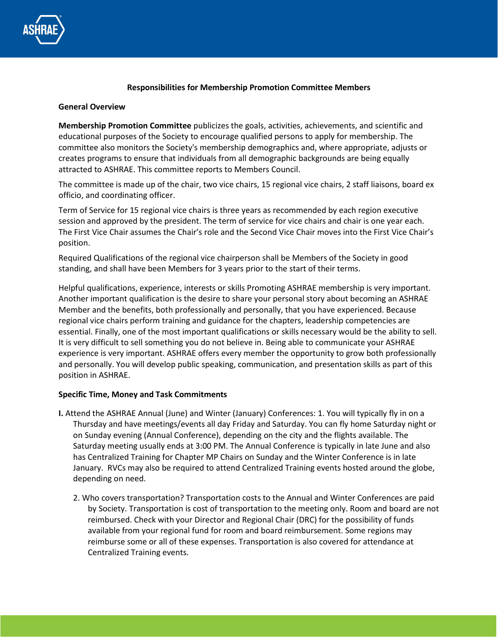

## **Responsibilities for Membership Promotion Committee Members**

## **General Overview**

**Membership Promotion Committee** publicizes the goals, activities, achievements, and scientific and educational purposes of the Society to encourage qualified persons to apply for membership. The committee also monitors the Society's membership demographics and, where appropriate, adjusts or creates programs to ensure that individuals from all demographic backgrounds are being equally attracted to ASHRAE. This committee reports to Members Council.

The committee is made up of the chair, two vice chairs, 15 regional vice chairs, 2 staff liaisons, board ex officio, and coordinating officer.

Term of Service for 15 regional vice chairs is three years as recommended by each region executive session and approved by the president. The term of service for vice chairs and chair is one year each. The First Vice Chair assumes the Chair's role and the Second Vice Chair moves into the First Vice Chair's position.

Required Qualifications of the regional vice chairperson shall be Members of the Society in good standing, and shall have been Members for 3 years prior to the start of their terms.

Helpful qualifications, experience, interests or skills Promoting ASHRAE membership is very important. Another important qualification is the desire to share your personal story about becoming an ASHRAE Member and the benefits, both professionally and personally, that you have experienced. Because regional vice chairs perform training and guidance for the chapters, leadership competencies are essential. Finally, one of the most important qualifications or skills necessary would be the ability to sell. It is very difficult to sell something you do not believe in. Being able to communicate your ASHRAE experience is very important. ASHRAE offers every member the opportunity to grow both professionally and personally. You will develop public speaking, communication, and presentation skills as part of this position in ASHRAE.

## **Specific Time, Money and Task Commitments**

- **I.** Attend the ASHRAE Annual (June) and Winter (January) Conferences: 1. You will typically fly in on a Thursday and have meetings/events all day Friday and Saturday. You can fly home Saturday night or on Sunday evening (Annual Conference), depending on the city and the flights available. The Saturday meeting usually ends at 3:00 PM. The Annual Conference is typically in late June and also has Centralized Training for Chapter MP Chairs on Sunday and the Winter Conference is in late January. RVCs may also be required to attend Centralized Training events hosted around the globe, depending on need.
	- 2. Who covers transportation? Transportation costs to the Annual and Winter Conferences are paid by Society. Transportation is cost of transportation to the meeting only. Room and board are not reimbursed. Check with your Director and Regional Chair (DRC) for the possibility of funds available from your regional fund for room and board reimbursement. Some regions may reimburse some or all of these expenses. Transportation is also covered for attendance at Centralized Training events.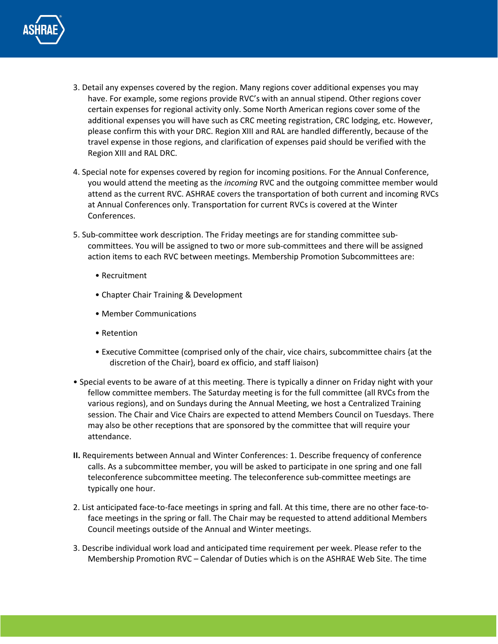

- 3. Detail any expenses covered by the region. Many regions cover additional expenses you may have. For example, some regions provide RVC's with an annual stipend. Other regions cover certain expenses for regional activity only. Some North American regions cover some of the additional expenses you will have such as CRC meeting registration, CRC lodging, etc. However, please confirm this with your DRC. Region XIII and RAL are handled differently, because of the travel expense in those regions, and clarification of expenses paid should be verified with the Region XIII and RAL DRC.
- 4. Special note for expenses covered by region for incoming positions. For the Annual Conference, you would attend the meeting as the *incoming* RVC and the outgoing committee member would attend as the current RVC. ASHRAE covers the transportation of both current and incoming RVCs at Annual Conferences only. Transportation for current RVCs is covered at the Winter Conferences.
- 5. Sub-committee work description. The Friday meetings are for standing committee subcommittees. You will be assigned to two or more sub-committees and there will be assigned action items to each RVC between meetings. Membership Promotion Subcommittees are:
	- Recruitment
	- Chapter Chair Training & Development
	- Member Communications
	- Retention
	- Executive Committee (comprised only of the chair, vice chairs, subcommittee chairs {at the discretion of the Chair}, board ex officio, and staff liaison)
- Special events to be aware of at this meeting. There is typically a dinner on Friday night with your fellow committee members. The Saturday meeting is for the full committee (all RVCs from the various regions), and on Sundays during the Annual Meeting, we host a Centralized Training session. The Chair and Vice Chairs are expected to attend Members Council on Tuesdays. There may also be other receptions that are sponsored by the committee that will require your attendance.
- **II.** Requirements between Annual and Winter Conferences: 1. Describe frequency of conference calls. As a subcommittee member, you will be asked to participate in one spring and one fall teleconference subcommittee meeting. The teleconference sub-committee meetings are typically one hour.
- 2. List anticipated face-to-face meetings in spring and fall. At this time, there are no other face-toface meetings in the spring or fall. The Chair may be requested to attend additional Members Council meetings outside of the Annual and Winter meetings.
- 3. Describe individual work load and anticipated time requirement per week. Please refer to the Membership Promotion RVC – Calendar of Duties which is on the ASHRAE Web Site. The time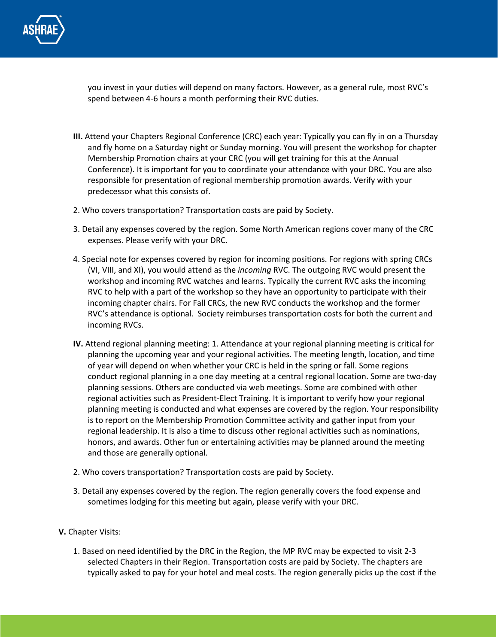

you invest in your duties will depend on many factors. However, as a general rule, most RVC's spend between 4-6 hours a month performing their RVC duties.

- **III.** Attend your Chapters Regional Conference (CRC) each year: Typically you can fly in on a Thursday and fly home on a Saturday night or Sunday morning. You will present the workshop for chapter Membership Promotion chairs at your CRC (you will get training for this at the Annual Conference). It is important for you to coordinate your attendance with your DRC. You are also responsible for presentation of regional membership promotion awards. Verify with your predecessor what this consists of.
- 2. Who covers transportation? Transportation costs are paid by Society.
- 3. Detail any expenses covered by the region. Some North American regions cover many of the CRC expenses. Please verify with your DRC.
- 4. Special note for expenses covered by region for incoming positions. For regions with spring CRCs (VI, VIII, and XI), you would attend as the *incoming* RVC. The outgoing RVC would present the workshop and incoming RVC watches and learns. Typically the current RVC asks the incoming RVC to help with a part of the workshop so they have an opportunity to participate with their incoming chapter chairs. For Fall CRCs, the new RVC conducts the workshop and the former RVC's attendance is optional. Society reimburses transportation costs for both the current and incoming RVCs.
- **IV.** Attend regional planning meeting: 1. Attendance at your regional planning meeting is critical for planning the upcoming year and your regional activities. The meeting length, location, and time of year will depend on when whether your CRC is held in the spring or fall. Some regions conduct regional planning in a one day meeting at a central regional location. Some are two-day planning sessions. Others are conducted via web meetings. Some are combined with other regional activities such as President-Elect Training. It is important to verify how your regional planning meeting is conducted and what expenses are covered by the region. Your responsibility is to report on the Membership Promotion Committee activity and gather input from your regional leadership. It is also a time to discuss other regional activities such as nominations, honors, and awards. Other fun or entertaining activities may be planned around the meeting and those are generally optional.
- 2. Who covers transportation? Transportation costs are paid by Society.
- 3. Detail any expenses covered by the region. The region generally covers the food expense and sometimes lodging for this meeting but again, please verify with your DRC.
- **V.** Chapter Visits:
	- 1. Based on need identified by the DRC in the Region, the MP RVC may be expected to visit 2-3 selected Chapters in their Region. Transportation costs are paid by Society. The chapters are typically asked to pay for your hotel and meal costs. The region generally picks up the cost if the